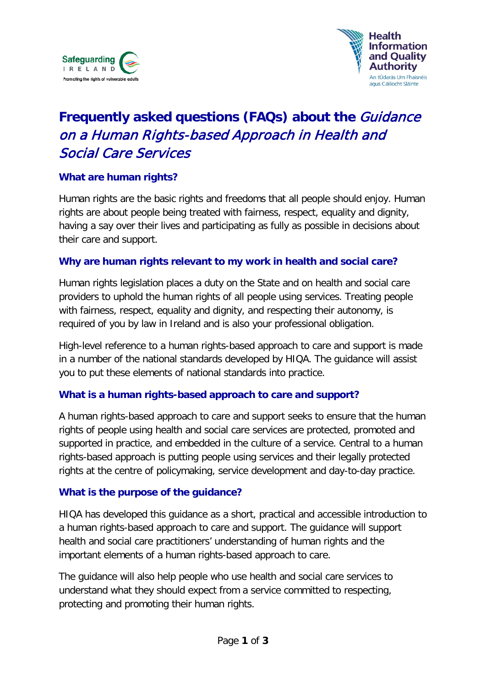



# **Frequently asked questions (FAQs) about the** Guidance on a Human Rights-based Approach in Health and Social Care Services

#### **What are human rights?**

Human rights are the basic rights and freedoms that all people should enjoy. Human rights are about people being treated with fairness, respect, equality and dignity, having a say over their lives and participating as fully as possible in decisions about their care and support.

#### **Why are human rights relevant to my work in health and social care?**

Human rights legislation places a duty on the State and on health and social care providers to uphold the human rights of all people using services. Treating people with fairness, respect, equality and dignity, and respecting their autonomy, is required of you by law in Ireland and is also your professional obligation.

High-level reference to a human rights-based approach to care and support is made in a number of the national standards developed by HIQA. The guidance will assist you to put these elements of national standards into practice.

#### **What is a human rights-based approach to care and support?**

A human rights-based approach to care and support seeks to ensure that the human rights of people using health and social care services are protected, promoted and supported in practice, and embedded in the culture of a service. Central to a human rights-based approach is putting people using services and their legally protected rights at the centre of policymaking, service development and day-to-day practice.

#### **What is the purpose of the guidance?**

HIQA has developed this guidance as a short, practical and accessible introduction to a human rights-based approach to care and support. The guidance will support health and social care practitioners' understanding of human rights and the important elements of a human rights-based approach to care.

The guidance will also help people who use health and social care services to understand what they should expect from a service committed to respecting, protecting and promoting their human rights.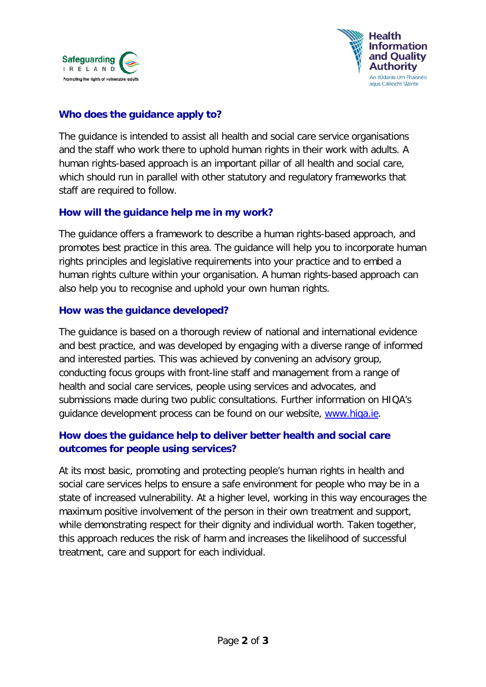



# **Who does the guidance apply to?**

The guidance is intended to assist all health and social care service organisations and the staff who work there to uphold human rights in their work with adults. A human rights-based approach is an important pillar of all health and social care, which should run in parallel with other statutory and regulatory frameworks that staff are required to follow.

#### **How will the guidance help me in my work?**

The guidance offers a framework to describe a human rights-based approach, and promotes best practice in this area. The guidance will help you to incorporate human rights principles and legislative requirements into your practice and to embed a human rights culture within your organisation. A human rights-based approach can also help you to recognise and uphold your own human rights.

#### **How was the guidance developed?**

The guidance is based on a thorough review of national and international evidence and best practice, and was developed by engaging with a diverse range of informed and interested parties. This was achieved by convening an advisory group, conducting focus groups with front-line staff and management from a range of health and social care services, people using services and advocates, and submissions made during two public consultations. Further information on HIQA's guidance development process can be found on our website, www.higa.ie.

# **How does the guidance help to deliver better health and social care outcomes for people using services?**

At its most basic, promoting and protecting people's human rights in health and social care services helps to ensure a safe environment for people who may be in a state of increased vulnerability. At a higher level, working in this way encourages the maximum positive involvement of the person in their own treatment and support, while demonstrating respect for their dignity and individual worth. Taken together, this approach reduces the risk of harm and increases the likelihood of successful treatment, care and support for each individual.